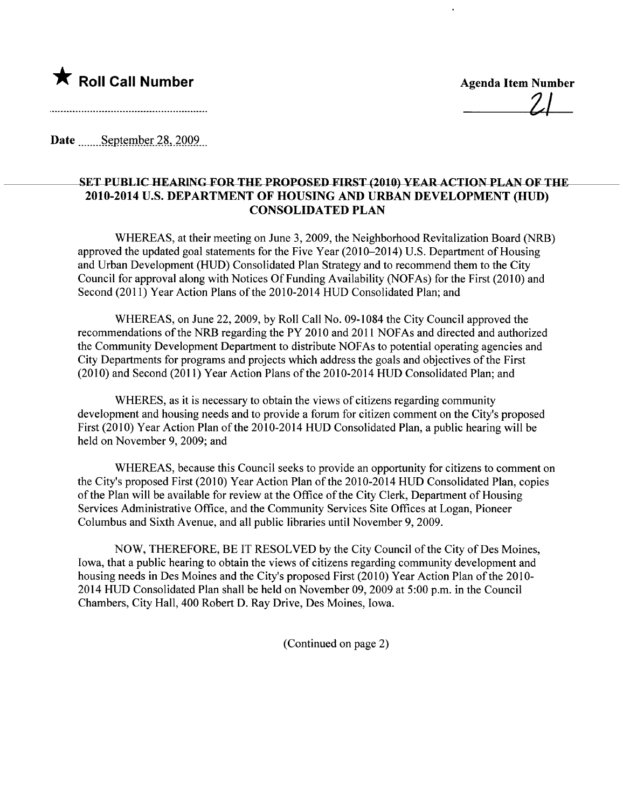

Date September 28, 2009

## SET PUBLIC HEARING FOR THE PROPOSED FIRST (2010) YEAR ACTION PLAN OF THE 2010-2014 U.S. DEPARTMENT OF HOUSING AND URBAN DEVELOPMENT (HUD) CONSOLIDATED PLAN

WHEREAS, at their meeting on June 3, 2009, the Neighborhood Revitalization Board (NRB) approved the updated goal statements for the Five Year (2010-2014) U.S. Department of Housing and Urban Development (HUD) Consolidated Plan Strategy and to recommend them to the City Council for approval along with Notices Of Funding Availability (NOF As) for the First (2010) and Second (2011) Year Action Plans of the 2010-2014 HUD Consolidated Plan; and

WHEREAS, on June 22, 2009, by Roll Call No. 09-1084 the City Council approved the recommendations of the NRB regarding the PY 2010 and 2011 NOFAs and directed and authorized the Community Development Department to distribute NOF As to potential operating agencies and City Departments for programs and projects which address the goals and objectives of the First (2010) and Second (2011) Year Action Plans of the 2010-2014 HUD Consolidated Plan; and

WHERES, as it is necessary to obtain the views of citizens regarding community development and housing needs and to provide a forum for citizen comment on the City's proposed First (2010) Year Action Plan of the 2010-2014 HUD Consolidated Plan, a public hearing will be held on November 9, 2009; and

WHEREAS, because this Council seeks to provide an opportunity for citizens to comment on the City's proposed First (2010) Year Action Plan of the 2010-2014 HUD Consolidated Plan, copies of the Plan will be available for review at the Office of the City Clerk, Department of Housing Services Administrative Office, and the Community Services Site Offices at Logan, Pioneer Columbus and Sixth Avenue, and all public libraries until November 9,2009.

NOW, THEREFORE, BE IT RESOLVED by the City Council of the City of Des Moines, Iowa, that a public hearing to obtain the views of citizens regarding community development and housing needs in Des Moines and the City's proposed First (2010) Year Action Plan of the 2010- 2014 HUD Consolidated Plan shall be held on November 09,2009 at 5:00 p.m. in the Council Chambers, City Hall, 400 Robert D. Ray Drive, Des Moines, Iowa.

(Continued on page 2)